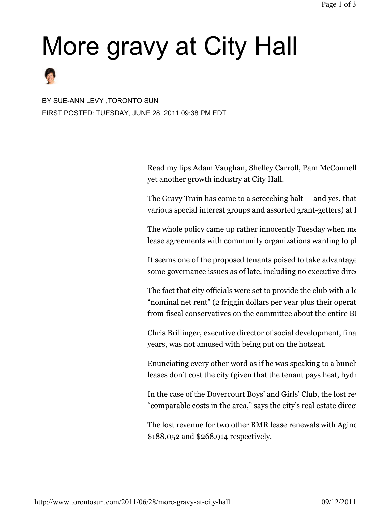# More gravy at City Hall



BY SUE-ANN LEVY ,TORONTO SUN FIRST POSTED: TUESDAY, JUNE 28, 2011 09:38 PM EDT

> Read my lips Adam Vaughan, Shelley Carroll, Pam McConnell yet another growth industry at City Hall.

> The Gravy Train has come to a screeching halt — and yes, that various special interest groups and assorted grant-getters) at I

> The whole policy came up rather innocently Tuesday when  $m\epsilon$ lease agreements with community organizations wanting to pl

> It seems one of the proposed tenants poised to take advantage some governance issues as of late, including no executive director  $\theta$

> The fact that city officials were set to provide the club with a  $l\epsilon$ "nominal net rent" (2 friggin dollars per year plus their operat from fiscal conservatives on the committee about the entire BI

> Chris Brillinger, executive director of social development, finance and all alministration and and administration years, was not amused with being put on the hotseat.

> Enunciating every other word as if he was speaking to a bunch leases don't cost the city (given that the tenant pays heat, hydr

> In the case of the Dovercourt Boys' and Girls' Club, the lost revenue over the five "comparable costs in the area," says the city's real estate direct

> The lost revenue for two other BMR lease renewals with Aginc \$188,052 and \$268,914 respectively.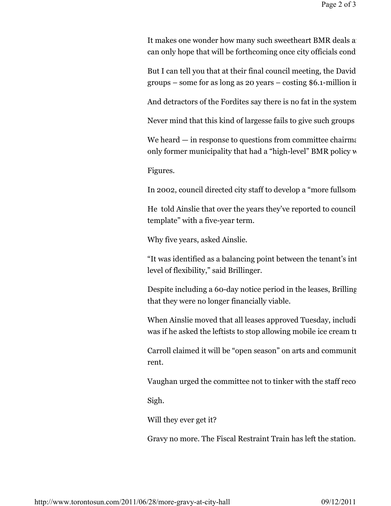It makes one wonder how many such sweetheart BMR deals are can only hope that will be forthcoming once city officials cond

But I can tell you that at their final council meeting, the David groups – some for as long as  $20$  years – costing \$6.1-million in

And detractors of the Fordites say there is no fat in the system.

Never mind that this kind of largesse fails to give such groups

We heard  $-$  in response to questions from committee chairmant only former municipality that had a "high-level" BMR policy w

Figures.

In 2002, council directed city staff to develop a "more fullsome

He told Ainslie that over the years they've reported to council template" with a five-year term.

Why five years, asked Ainslie.

"It was identified as a balancing point between the tenant's int level of flexibility," said Brillinger.

Despite including a 60-day notice period in the leases, Brilling that they were no longer financially viable.

When Ainslie moved that all leases approved Tuesday, including the one for  $\mu$ was if he asked the leftists to stop allowing mobile ice cream to

Carroll claimed it will be "open season" on arts and communit rent.

Vaughan urged the committee not to tinker with the staff recom-

Sigh.

Will they ever get it?

Gravy no more. The Fiscal Restraint Train has left the station.